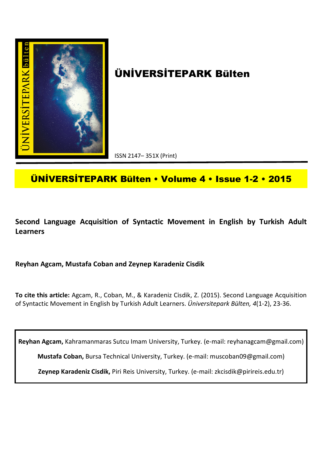

# **ÜNİVERSİTEPARK Bülten**

ISSN 2147– 351X (Print)

## **ÜNİVERSİTEPARK Bülten • Volume 4 • Issue 1-2 • 2015**

**Second Language Acquisition of Syntactic Movement in English by Turkish Adult Learners**

**Reyhan Agcam, Mustafa Coban and Zeynep Karadeniz Cisdik**

**To cite this article:** Agcam, R., Coban, M., & Karadeniz Cisdik, Z. (2015). Second Language Acquisition of Syntactic Movement in English by Turkish Adult Learners. *Üniversitepark Bülten, 4*(1-2), 23-36.

**Reyhan Agcam,** Kahramanmaras Sutcu Imam University, Turkey. (e-mail: reyhanagcam@gmail.com)

**Mustafa Coban,** Bursa Technical University, Turkey. (e-mail: muscoban09@gmail.com)

**Zeynep Karadeniz Cisdik,** Piri Reis University, Turkey. (e-mail: zkcisdik@pirireis.edu.tr)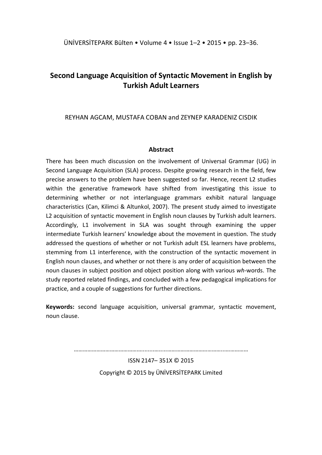### **Second Language Acquisition of Syntactic Movement in English by Turkish Adult Learners**

#### REYHAN AGCAM, MUSTAFA COBAN and ZEYNEP KARADENIZ CISDIK

#### **Abstract**

There has been much discussion on the involvement of Universal Grammar (UG) in Second Language Acquisition (SLA) process. Despite growing research in the field, few precise answers to the problem have been suggested so far. Hence, recent L2 studies within the generative framework have shifted from investigating this issue to determining whether or not interlanguage grammars exhibit natural language characteristics (Can, Kilimci & Altunkol, 2007). The present study aimed to investigate L2 acquisition of syntactic movement in English noun clauses by Turkish adult learners. Accordingly, L1 involvement in SLA was sought through examining the upper intermediate Turkish learners' knowledge about the movement in question. The study addressed the questions of whether or not Turkish adult ESL learners have problems, stemming from L1 interference, with the construction of the syntactic movement in English noun clauses, and whether or not there is any order of acquisition between the noun clauses in subject position and object position along with various *wh-*words. The study reported related findings, and concluded with a few pedagogical implications for practice, and a couple of suggestions for further directions.

**Keywords:** second language acquisition, universal grammar, syntactic movement, noun clause.

………………………………………........….....………………………………...……………

ISSN 2147– 351X © 2015 Copyright © 2015 by ÜNİVERSİTEPARK Limited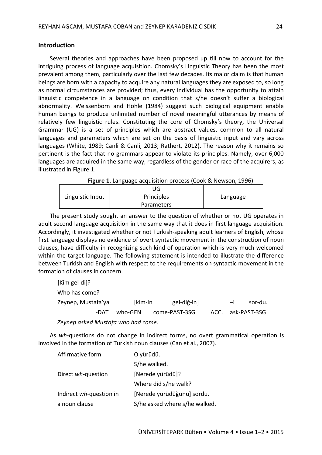#### **Introduction**

Several theories and approaches have been proposed up till now to account for the intriguing process of language acquisition. Chomsky's Linguistic Theory has been the most prevalent among them, particularly over the last few decades. Its major claim is that human beings are born with a capacity to acquire any natural languages they are exposed to, so long as normal circumstances are provided; thus, every individual has the opportunity to attain linguistic competence in a language on condition that s/he doesn't suffer a biological abnormality. Weissenborn and Höhle (1984) suggest such biological equipment enable human beings to produce unlimited number of novel meaningful utterances by means of relatively few linguistic rules. Constituting the core of Chomsky's theory, the Universal Grammar (UG) is a set of principles which are abstract values, common to all natural languages and parameters which are set on the basis of linguistic input and vary across languages (White, 1989; Canli & Canli, 2013; Rathert, 2012). The reason why it remains so pertinent is the fact that no grammars appear to violate its principles. Namely, over 6,000 languages are acquired in the same way, regardless of the gender or race of the acquirers, as illustrated in Figure 1.

|  | Figure 1. Language acquisition process (Cook & Newson, 1996) |  |  |
|--|--------------------------------------------------------------|--|--|
|--|--------------------------------------------------------------|--|--|

|                  | UG                |          |
|------------------|-------------------|----------|
| Linguistic Input | Principles        | Language |
|                  | <b>Parameters</b> |          |

The present study sought an answer to the question of whether or not UG operates in adult second language acquisition in the same way that it does in first language acquisition. Accordingly, it investigated whether or not Turkish-speaking adult learners of English, whose first language displays no evidence of overt syntactic movement in the construction of noun clauses, have difficulty in recognizing such kind of operation which is very much welcomed within the target language. The following statement is intended to illustrate the difference between Turkish and English with respect to the requirements on syntactic movement in the formation of clauses in concern.

| [Kim gel-di]?                      |         |                       |  |      |                   |  |
|------------------------------------|---------|-----------------------|--|------|-------------------|--|
| Who has come?                      |         |                       |  |      |                   |  |
| Zeynep, Mustafa'ya                 | [kim-in | gel-diğ-in]           |  | $-i$ | sor-du.           |  |
| -DAT                               |         | who-GEN come-PAST-3SG |  |      | ACC. ask-PAST-3SG |  |
| Zeynep asked Mustafa who had come. |         |                       |  |      |                   |  |

As *wh*-questions do not change in indirect forms, no overt grammatical operation is involved in the formation of Turkish noun clauses (Can et al., 2007).

| Affirmative form        | O yürüdü.                     |
|-------------------------|-------------------------------|
|                         | S/he walked.                  |
| Direct wh-question      | [Nerede yürüdü]?              |
|                         | Where did s/he walk?          |
| Indirect wh-question in | [Nerede yürüdüğünü] sordu.    |
| a noun clause           | S/he asked where s/he walked. |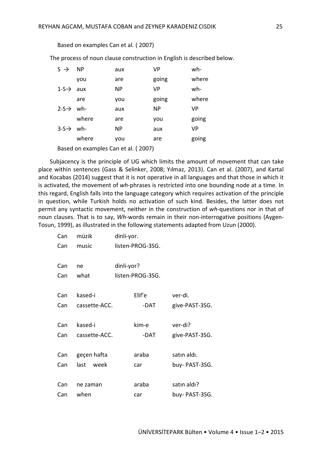Based on examples Can et al. ( 2007)

The process of noun clause construction in English is described below.

| $S \rightarrow$     | <b>NP</b> | aux       | VP        | wh-       |
|---------------------|-----------|-----------|-----------|-----------|
|                     | you       | are       | going     | where     |
| $1-S \rightarrow$   | aux       | <b>NP</b> | <b>VP</b> | wh-       |
|                     | are       | you       | going     | where     |
| $2-S\rightarrow wh$ |           | aux       | <b>NP</b> | VP        |
|                     | where     | are       | you       | going     |
| $3-5 \rightarrow$   | wh-       | <b>NP</b> | aux       | <b>VP</b> |
|                     | where     | you       | are       | going     |
|                     |           |           |           |           |

Based on examples Can et al. ( 2007)

Subjacency is the principle of UG which limits the amount of movement that can take place within sentences (Gass & Selinker, 2008; Yılmaz, 2013). Can et al. (2007), and Kartal and Kocabas (2014) suggest that it is not operative in all languages and that those in which it is activated, the movement of *wh*-phrases is restricted into one bounding node at a time. In this regard, English falls into the language category which requires activation of the principle in question, while Turkish holds no activation of such kind. Besides, the latter does not permit any syntactic movement, neither in the construction of *wh*-questions nor in that of noun clauses. That is to say, *Wh*-words remain in their non-interrogative positions (Aygen-Tosun, 1999), as illustrated in the following statements adapted from Uzun (2000).

| Can | müzik         | dinli-yor.       |                |
|-----|---------------|------------------|----------------|
| Can | music         | listen-PROG-3SG. |                |
| Can | ne            | dinli-yor?       |                |
| Can | what          | listen-PROG-3SG. |                |
| Can | kased-i       | Elif'e           | ver-di.        |
| Can | cassette-ACC. | -DAT             | give-PAST-3SG. |
| Can | kased-i       | kim-e            | ver-di?        |
| Can | cassette-ACC. | -DAT             | give-PAST-3SG. |
| Can | geçen hafta   | araba            | satın aldı.    |
| Can | last week     | car              | buy- PAST-3SG. |
| Can | ne zaman      | araba            | satın aldı?    |
| Can | when          | car              | buy- PAST-3SG. |
|     |               |                  |                |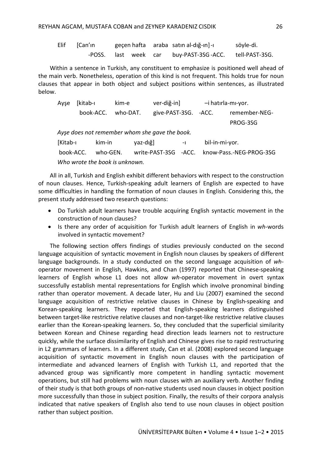| Elif [Can'ın         |  | geçen hafta araba satın al-dığ-ın]-ı | söyle-di.      |
|----------------------|--|--------------------------------------|----------------|
| -POSS. last week car |  | buy-PAST-3SG -ACC.                   | tell-PAST-3SG. |

Within a sentence in Turkish, any constituent to emphasize is positioned well ahead of the main verb. Nonetheless, operation of this kind is not frequent. This holds true for noun clauses that appear in both object and subject positions within sentences, as illustrated below.

| Ayse      | [kitab-ı                       | kim-e    |                                                | ver-diğ-in]           |                | -i hatırla-mı-yor.      |
|-----------|--------------------------------|----------|------------------------------------------------|-----------------------|----------------|-------------------------|
|           | book-ACC.                      | who-DAT. |                                                | give-PAST-3SG. - ACC. |                | remember-NEG-           |
|           |                                |          |                                                |                       |                | PROG-3SG                |
|           |                                |          | Ayse does not remember whom she gave the book. |                       |                |                         |
| [Kitab-ı  |                                | kim-in   | yaz-dığ]                                       | $-1$                  | bil-in-mi-yor. |                         |
| book-ACC. |                                | who-GEN. | write-PAST-3SG -ACC.                           |                       |                | know-Pass.-NEG-PROG-3SG |
|           | Who wrote the book is unknown. |          |                                                |                       |                |                         |

All in all, Turkish and English exhibit different behaviors with respect to the construction of noun clauses. Hence, Turkish-speaking adult learners of English are expected to have some difficulties in handling the formation of noun clauses in English. Considering this, the present study addressed two research questions:

- Do Turkish adult learners have trouble acquiring English syntactic movement in the construction of noun clauses?
- Is there any order of acquisition for Turkish adult learners of English in *wh*-words involved in syntactic movement?

The following section offers findings of studies previously conducted on the second language acquisition of syntactic movement in English noun clauses by speakers of different language backgrounds. In a study conducted on the second language acquisition of *wh*operator movement in English, Hawkins, and Chan (1997) reported that Chinese-speaking learners of English whose L1 does not allow *wh*-operator movement in overt syntax successfully establish mental representations for English which involve pronominal binding rather than operator movement. A decade later, Hu and Liu (2007) examined the second language acquisition of restrictive relative clauses in Chinese by English-speaking and Korean-speaking learners. They reported that English-speaking learners distinguished between target-like restrictive relative clauses and non-target-like restrictive relative clauses earlier than the Korean-speaking learners. So, they concluded that the superficial similarity between Korean and Chinese regarding head direction leads learners not to restructure quickly, while the surface dissimilarity of English and Chinese gives rise to rapid restructuring in L2 grammars of learners. In a different study, Can et al. (2008) explored second language acquisition of syntactic movement in English noun clauses with the participation of intermediate and advanced learners of English with Turkish L1, and reported that the advanced group was significantly more competent in handling syntactic movement operations, but still had problems with noun clauses with an auxiliary verb. Another finding of their study is that both groups of non-native students used noun clauses in object position more successfully than those in subject position. Finally, the results of their corpora analysis indicated that native speakers of English also tend to use noun clauses in object position rather than subject position.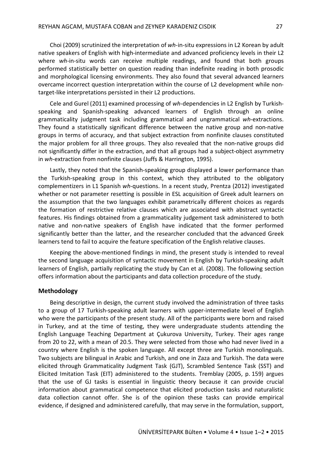Choi (2009) scrutinized the interpretation of *wh*-in-situ expressions in L2 Korean by adult native speakers of English with high-intermediate and advanced proficiency levels in their L2 where *wh*-in-situ words can receive multiple readings, and found that both groups performed statistically better on question reading than indefinite reading in both prosodic and morphological licensing environments. They also found that several advanced learners overcame incorrect question interpretation within the course of L2 development while nontarget-like interpretations persisted in their L2 productions.

Cele and Gurel (2011) examined processing of *wh*-dependencies in L2 English by Turkishspeaking and Spanish-speaking advanced learners of English through an online grammaticality judgment task including grammatical and ungrammatical *wh*-extractions. They found a statistically significant difference between the native group and non-native groups in terms of accuracy, and that subject extraction from nonfinite clauses constituted the major problem for all three groups. They also revealed that the non-native groups did not significantly differ in the extraction, and that all groups had a subject-object asymmetry in *wh*-extraction from nonfinite clauses (Juffs & Harrington, 1995).

Lastly, they noted that the Spanish-speaking group displayed a lower performance than the Turkish-speaking group in this context, which they attributed to the obligatory complementizers in L1 Spanish *wh*-questions. In a recent study, Prentza (2012) investigated whether or not parameter resetting is possible in ESL acquisition of Greek adult learners on the assumption that the two languages exhibit parametrically different choices as regards the formation of restrictive relative clauses which are associated with abstract syntactic features. His findings obtained from a grammaticality judgement task administered to both native and non-native speakers of English have indicated that the former performed significantly better than the latter, and the researcher concluded that the advanced Greek learners tend to fail to acquire the feature specification of the English relative clauses.

Keeping the above-mentioned findings in mind, the present study is intended to reveal the second language acquisition of syntactic movement in English by Turkish-speaking adult learners of English, partially replicating the study by Can et al. (2008). The following section offers information about the participants and data collection procedure of the study.

#### **Methodology**

Being descriptive in design, the current study involved the administration of three tasks to a group of 17 Turkish-speaking adult learners with upper-intermediate level of English who were the participants of the present study. All of the participants were born and raised in Turkey, and at the time of testing, they were undergraduate students attending the English Language Teaching Department at Çukurova University, Turkey. Their ages range from 20 to 22, with a mean of 20.5. They were selected from those who had never lived in a country where English is the spoken language. All except three are Turkish monolinguals. Two subjects are bilingual in Arabic and Turkish, and one in Zaza and Turkish. The data were elicited through Grammaticality Judgment Task (GJT), Scrambled Sentence Task (SST) and Elicited Imitation Task (EIT) administered to the students. Tremblay (2005, p. 159) argues that the use of GJ tasks is essential in linguistic theory because it can provide crucial information about grammatical competence that elicited production tasks and naturalistic data collection cannot offer. She is of the opinion these tasks can provide empirical evidence, if designed and administered carefully, that may serve in the formulation, support,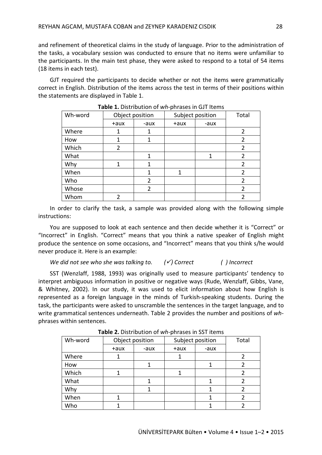and refinement of theoretical claims in the study of language. Prior to the administration of the tasks, a vocabulary session was conducted to ensure that no items were unfamiliar to the participants. In the main test phase, they were asked to respond to a total of 54 items (18 items in each test).

GJT required the participants to decide whether or not the items were grammatically correct in English. Distribution of the items across the test in terms of their positions within the statements are displayed in Table 1.

| Wh-word | Object position |                | Subject position | Total |                |
|---------|-----------------|----------------|------------------|-------|----------------|
|         | $+aux$          | -aux           | $+aux$           | -aux  |                |
| Where   | 1               | 1              |                  |       | 2              |
| How     | 1               | 1              |                  |       | 2              |
| Which   | 2               |                |                  |       | $\overline{2}$ |
| What    |                 | 1              |                  | 1     | 2              |
| Why     | 1               | 1              |                  |       | 2              |
| When    |                 | 1              | 1                |       | 2              |
| Who     |                 | $\overline{2}$ |                  |       | 2              |
| Whose   |                 | $\mathfrak z$  |                  |       | $\mathfrak z$  |
| Whom    | 2               |                |                  |       | 2              |

**Table 1.** Distribution of *wh*-phrases in GJT Items

In order to clarify the task, a sample was provided along with the following simple instructions:

You are supposed to look at each sentence and then decide whether it is "Correct" or "Incorrect" in English. "Correct" means that you think a native speaker of English might produce the sentence on some occasions, and "Incorrect" means that you think s/he would never produce it. Here is an example:

#### *We did not see who she was talking to. () Correct ( ) Incorrect*

SST (Wenzlaff, 1988, 1993) was originally used to measure participants' tendency to interpret ambiguous information in positive or negative ways (Rude, Wenzlaff, Gibbs, Vane, & Whitney, 2002). In our study, it was used to elicit information about how English is represented as a foreign language in the minds of Turkish-speaking students. During the task, the participants were asked to unscramble the sentences in the target language, and to write grammatical sentences underneath. Table 2 provides the number and positions of *wh*phrases within sentences.

| Object position |      |        | Total |                  |
|-----------------|------|--------|-------|------------------|
| $+aux$          | -aux | $+aux$ | -aux  |                  |
|                 |      |        |       |                  |
|                 |      |        |       |                  |
|                 |      |        |       |                  |
|                 |      |        |       |                  |
|                 |      |        |       |                  |
|                 |      |        |       |                  |
|                 |      |        |       |                  |
|                 |      |        |       | Subject position |

**Table 2.** Distribution of *wh*-phrases in SST items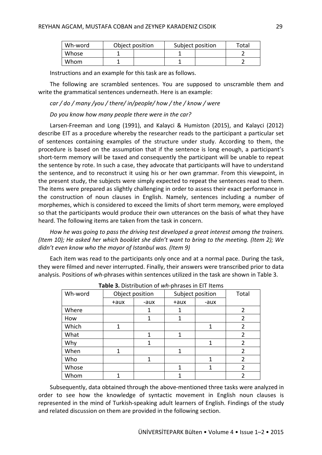| Wh-word | Object position |  | Subject position | Total |  |
|---------|-----------------|--|------------------|-------|--|
| Whose   |                 |  |                  |       |  |
| Whom    |                 |  |                  |       |  |

Instructions and an example for this task are as follows.

The following are scrambled sentences. You are supposed to unscramble them and write the grammatical sentences underneath. Here is an example:

#### *car / do / many /you / there/ in/people/ how / the / know / were*

#### *Do you know how many people there were in the car?*

Larsen-Freeman and Long (1991), and Kalayci & Humiston (2015), and Kalayci (2012) describe EIT as a procedure whereby the researcher reads to the participant a particular set of sentences containing examples of the structure under study. According to them, the procedure is based on the assumption that if the sentence is long enough, a participant's short-term memory will be taxed and consequently the participant will be unable to repeat the sentence by rote. In such a case, they advocate that participants will have to understand the sentence, and to reconstruct it using his or her own grammar. From this viewpoint, in the present study, the subjects were simply expected to repeat the sentences read to them. The items were prepared as slightly challenging in order to assess their exact performance in the construction of noun clauses in English. Namely, sentences including a number of morphemes, which is considered to exceed the limits of short term memory, were employed so that the participants would produce their own utterances on the basis of what they have heard. The following items are taken from the task in concern.

*How he was going to pass the driving test developed a great interest among the trainers. (Item 10); He asked her which booklet she didn't want to bring to the meeting. (Item 2); We didn't even know who the mayor of Istanbul was. (Item 9)*

Each item was read to the participants only once and at a normal pace. During the task, they were filmed and never interrupted. Finally, their answers were transcribed prior to data analysis. Positions of *wh*-phrases within sentences utilized in the task are shown in Table 3.

| Wh-word | Object position |      | Subject position |      | Total          |  |  |
|---------|-----------------|------|------------------|------|----------------|--|--|
|         | $+aux$          | -aux | +aux             | -aux |                |  |  |
| Where   |                 |      | 1                |      | 2              |  |  |
| How     |                 | 1    | 1                |      | 2              |  |  |
| Which   | 1               |      |                  | 1    | 2              |  |  |
| What    |                 | 1    | 1                |      | 2              |  |  |
| Why     |                 | 1    |                  | 1    | $\overline{2}$ |  |  |
| When    | 1               |      | 1                |      | $\overline{2}$ |  |  |
| Who     |                 | 1    |                  | 1    | 2              |  |  |
| Whose   |                 |      | 1                | 1    | 2              |  |  |
| Whom    |                 |      | 1                |      | 2              |  |  |

**Table 3.** Distribution of *wh*-phrases in EIT Items

Subsequently, data obtained through the above-mentioned three tasks were analyzed in order to see how the knowledge of syntactic movement in English noun clauses is represented in the mind of Turkish-speaking adult learners of English. Findings of the study and related discussion on them are provided in the following section.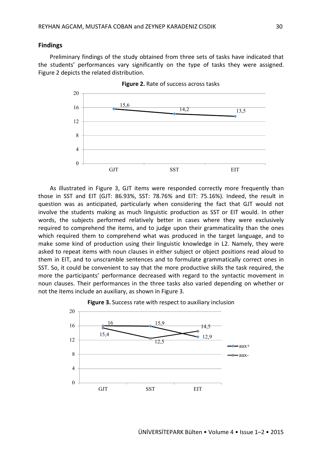#### **Findings**

Preliminary findings of the study obtained from three sets of tasks have indicated that the students' performances vary significantly on the type of tasks they were assigned. Figure 2 depicts the related distribution.



**Figure 2.** Rate of success across tasks

As illustrated in Figure 3, GJT items were responded correctly more frequently than those in SST and EIT (GJT: 86.93%, SST: 78.76% and EIT: 75.16%). Indeed, the result in question was as anticipated, particularly when considering the fact that GJT would not involve the students making as much linguistic production as SST or EIT would. In other words, the subjects performed relatively better in cases where they were exclusively required to comprehend the items, and to judge upon their grammaticality than the ones which required them to comprehend what was produced in the target language, and to make some kind of production using their linguistic knowledge in L2. Namely, they were asked to repeat items with noun clauses in either subject or object positions read aloud to them in EIT, and to unscramble sentences and to formulate grammatically correct ones in SST. So, it could be convenient to say that the more productive skills the task required, the more the participants' performance decreased with regard to the syntactic movement in noun clauses. Their performances in the three tasks also varied depending on whether or not the items include an auxiliary, as shown in Figure 3.



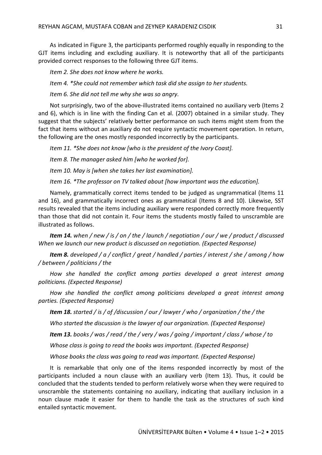As indicated in Figure 3, the participants performed roughly equally in responding to the GJT items including and excluding auxiliary. It is noteworthy that all of the participants provided correct responses to the following three GJT items.

*Item 2. She does not know where he works.*

*Item 4. \*She could not remember which task did she assign to her students.*

*Item 6. She did not tell me why she was so angry*.

Not surprisingly, two of the above-illustrated items contained no auxiliary verb (Items 2 and 6), which is in line with the finding Can et al. (2007) obtained in a similar study. They suggest that the subjects' relatively better performance on such items might stem from the fact that items without an auxiliary do not require syntactic movement operation. In return, the following are the ones mostly responded incorrectly by the participants.

*Item 11. \*She does not know [who is the president of the Ivory Coast].*

*Item 8. The manager asked him [who he worked for].*

*Item 10. May is [when she takes her last examination].*

*Item 16. \*The professor on TV talked about [how important was the education].*

Namely, grammatically correct items tended to be judged as ungrammatical (Items 11 and 16), and grammatically incorrect ones as grammatical (Items 8 and 10). Likewise, SST results revealed that the items including auxiliary were responded correctly more frequently than those that did not contain it. Four items the students mostly failed to unscramble are illustrated as follows.

*Item 14. when / new / is / on / the / launch / negotiation / our / we / product / discussed When we launch our new product is discussed on negotiation. (Expected Response)*

*Item 8. developed / a / conflict / great / handled / parties / interest / she / among / how / between / politicians / the*

*How she handled the conflict among parties developed a great interest among politicians. (Expected Response)*

*How she handled the conflict among politicians developed a great interest among parties. (Expected Response)*

*Item 18. started / is / of /discussion / our / lawyer / who / organization / the / the*

*Who started the discussion is the lawyer of our organization. (Expected Response)*

*Item 13. books / was / read / the / very / was / going / important / class / whose / to*

*Whose class is going to read the books was important. (Expected Response)*

*Whose books the class was going to read was important. (Expected Response)*

It is remarkable that only one of the items responded incorrectly by most of the participants included a noun clause with an auxiliary verb (Item 13). Thus, it could be concluded that the students tended to perform relatively worse when they were required to unscramble the statements containing no auxiliary, indicating that auxiliary inclusion in a noun clause made it easier for them to handle the task as the structures of such kind entailed syntactic movement.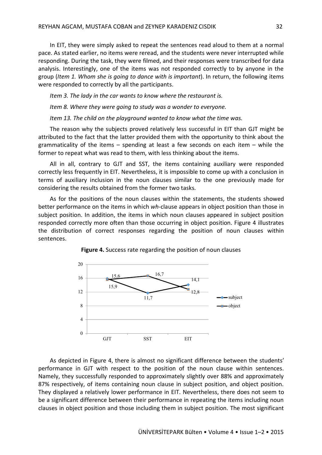In EIT, they were simply asked to repeat the sentences read aloud to them at a normal pace. As stated earlier, no items were reread, and the students were never interrupted while responding. During the task, they were filmed, and their responses were transcribed for data analysis. Interestingly, one of the items was not responded correctly to by anyone in the group (*Item 1. Whom she is going to dance with is important*). In return, the following items were responded to correctly by all the participants.

*Item 3. The lady in the car wants to know where the restaurant is.*

*Item 8. Where they were going to study was a wonder to everyone.*

*Item 13. The child on the playground wanted to know what the time was.* 

The reason why the subjects proved relatively less successful in EIT than GJT might be attributed to the fact that the latter provided them with the opportunity to think about the grammaticality of the items – spending at least a few seconds on each item – while the former to repeat what was read to them, with less thinking about the items.

All in all, contrary to GJT and SST, the items containing auxiliary were responded correctly less frequently in EIT. Nevertheless, it is impossible to come up with a conclusion in terms of auxiliary inclusion in the noun clauses similar to the one previously made for considering the results obtained from the former two tasks.

As for the positions of the noun clauses within the statements, the students showed better performance on the items in which *wh*-clause appears in object position than those in subject position. In addition, the items in which noun clauses appeared in subject position responded correctly more often than those occurring in object position. Figure 4 illustrates the distribution of correct responses regarding the position of noun clauses within sentences.



**Figure 4.** Success rate regarding the position of noun clauses

As depicted in Figure 4, there is almost no significant difference between the students' performance in GJT with respect to the position of the noun clause within sentences. Namely, they successfully responded to approximately slightly over 88% and approximately 87% respectively, of items containing noun clause in subject position, and object position. They displayed a relatively lower performance in EIT. Nevertheless, there does not seem to be a significant difference between their performance in repeating the items including noun clauses in object position and those including them in subject position. The most significant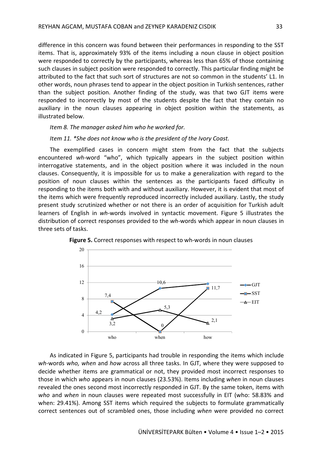difference in this concern was found between their performances in responding to the SST items. That is, approximately 93% of the items including a noun clause in object position were responded to correctly by the participants, whereas less than 65% of those containing such clauses in subject position were responded to correctly. This particular finding might be attributed to the fact that such sort of structures are not so common in the students' L1. In other words, noun phrases tend to appear in the object position in Turkish sentences, rather than the subject position. Another finding of the study, was that two GJT items were responded to incorrectly by most of the students despite the fact that they contain no auxiliary in the noun clauses appearing in object position within the statements, as illustrated below.

#### *Item 8. The manager asked him who he worked for.*

#### *Item 11. \*She does not know who is the president of the Ivory Coast.*

The exemplified cases in concern might stem from the fact that the subjects encountered *wh*-word "who", which typically appears in the subject position within interrogative statements, and in the object position where it was included in the noun clauses. Consequently, it is impossible for us to make a generalization with regard to the position of noun clauses within the sentences as the participants faced difficulty in responding to the items both with and without auxiliary. However, it is evident that most of the items which were frequently reproduced incorrectly included auxiliary. Lastly, the study present study scrutinized whether or not there is an order of acquisition for Turkish adult learners of English in *wh*-words involved in syntactic movement. Figure 5 illustrates the distribution of correct responses provided to the *wh*-words which appear in noun clauses in three sets of tasks.



**Figure 5.** Correct responses with respect to wh-words in noun clauses

As indicated in Figure 5, participants had trouble in responding the items which include *wh*-words *who, when* and *how* across all three tasks. In GJT, where they were supposed to decide whether items are grammatical or not, they provided most incorrect responses to those in which *who* appears in noun clauses (23.53%). Items including *when* in noun clauses revealed the ones second most incorrectly responded in GJT. By the same token, items with *who* and *when* in noun clauses were repeated most successfully in EIT (who: 58.83% and when: 29.41%). Among SST items which required the subjects to formulate grammatically correct sentences out of scrambled ones, those including *when* were provided no correct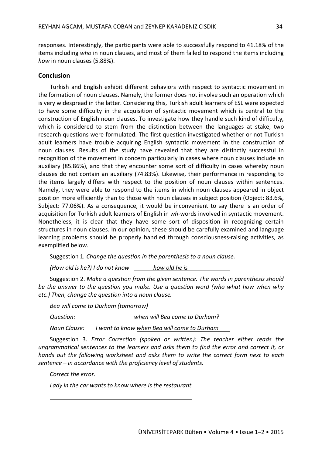responses. Interestingly, the participants were able to successfully respond to 41.18% of the items including *who* in noun clauses, and most of them failed to respond the items including *how* in noun clauses (5.88%).

#### **Conclusion**

Turkish and English exhibit different behaviors with respect to syntactic movement in the formation of noun clauses. Namely, the former does not involve such an operation which is very widespread in the latter. Considering this, Turkish adult learners of ESL were expected to have some difficulty in the acquisition of syntactic movement which is central to the construction of English noun clauses. To investigate how they handle such kind of difficulty, which is considered to stem from the distinction between the languages at stake, two research questions were formulated. The first question investigated whether or not Turkish adult learners have trouble acquiring English syntactic movement in the construction of noun clauses. Results of the study have revealed that they are distinctly successful in recognition of the movement in concern particularly in cases where noun clauses include an auxiliary (85.86%), and that they encounter some sort of difficulty in cases whereby noun clauses do not contain an auxiliary (74.83%). Likewise, their performance in responding to the items largely differs with respect to the position of noun clauses within sentences. Namely, they were able to respond to the items in which noun clauses appeared in object position more efficiently than to those with noun clauses in subject position (Object: 83.6%, Subject: 77.06%). As a consequence, it would be inconvenient to say there is an order of acquisition for Turkish adult learners of English in *wh*-words involved in syntactic movement. Nonetheless, it is clear that they have some sort of disposition in recognizing certain structures in noun clauses. In our opinion, these should be carefully examined and language learning problems should be properly handled through consciousness-raising activities, as exemplified below.

Suggestion 1*. Change the question in the parenthesis to a noun clause.*

*(How old is he?) I do not know how old he is*

Suggestion 2. *Make a question from the given sentence. The words in parenthesis should be the answer to the question you make. Use a question word (who what how when why etc.) Then, change the question into a noun clause.*

*Bea will come to Durham (tomorrow)*

*Question: when will Bea come to Durham?*

*Noun Clause: I want to know when Bea will come to Durham*

Suggestion 3. *Error Correction (spoken or written): The teacher either reads the ungrammatical sentences to the learners and asks them to find the error and correct it, or hands out the following worksheet and asks them to write the correct form next to each sentence – in accordance with the proficiency level of students.*

*Correct the error.*

*Lady in the car wants to know where is the restaurant.*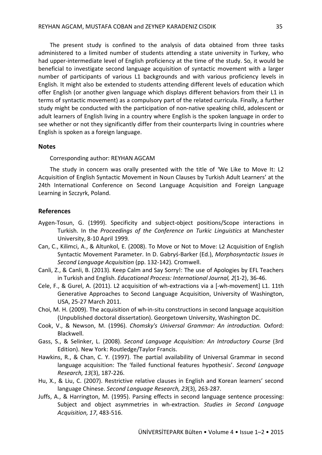The present study is confined to the analysis of data obtained from three tasks administered to a limited number of students attending a state university in Turkey, who had upper-intermediate level of English proficiency at the time of the study. So, it would be beneficial to investigate second language acquisition of syntactic movement with a larger number of participants of various L1 backgrounds and with various proficiency levels in English. It might also be extended to students attending different levels of education which offer English (or another given language which displays different behaviors from their L1 in terms of syntactic movement) as a compulsory part of the related curricula. Finally, a further study might be conducted with the participation of non-native speaking child, adolescent or adult learners of English living in a country where English is the spoken language in order to see whether or not they significantly differ from their counterparts living in countries where English is spoken as a foreign language.

#### **Notes**

Corresponding author: REYHAN AGCAM

The study in concern was orally presented with the title of 'We Like to Move It: L2 Acquisition of English Syntactic Movement in Noun Clauses by Turkish Adult Learners' at the 24th International Conference on Second Language Acquisition and Foreign Language Learning in Szczyrk, Poland.

#### **References**

- Aygen-Tosun, G. (1999). Specificity and subject-object positions/Scope interactions in Turkish. In the *Proceedings of the Conference on Turkic Linguistics* at Manchester University, 8-10 April 1999*.*
- Can, C., Kilimci, A., & Altunkol, E. (2008). To Move or Not to Move: L2 Acquisition of English Syntactic Movement Parameter. In D. Gabryś-Barker (Ed.), *Morphosyntactic Issues in Second Language Acquisition* (pp. 132-142)*.* Cromwell.
- Canli, Z., & Canli, B. (2013). Keep Calm and Say Sorry!: The use of Apologies by EFL Teachers in Turkish and English. *Educational Process: International Journal, 2*(1-2), 36-46.
- Cele, F., & Gurel, A. (2011). L2 acquisition of wh-extractions via a [-wh-movement] L1. 11th Generative Approaches to Second Language Acquisition, University of Washington, USA, 25-27 March 2011.
- Choi, M. H. (2009). The acquisition of wh-in-situ constructions in second language acquisition (Unpublished doctoral dissertation). Georgetown University, Washington DC.
- Cook, V., & Newson, M. (1996). *Chomsky's Universal Grammar: An introduction.* Oxford: Blackwell.
- Gass, S., & Selinker, L. (2008). *Second Language Acquisition: An Introductory Course* (3rd Edition). New York: Routledge/Taylor Francis.
- Hawkins, R., & Chan, C. Y. (1997). The partial availability of Universal Grammar in second language acquisition: The 'failed functional features hypothesis'. *Second Language Research, 13*(3), 187-226.
- Hu, X., & Liu, C. (2007). Restrictive relative clauses in English and Korean learners' second language Chinese. *Second Language Research, 23*(3), 263-287.
- Juffs, A., & Harrington, M. (1995). Parsing effects in second language sentence processing: Subject and object asymmetries in wh-extraction*. Studies in Second Language Acquisition, 17*, 483-516.